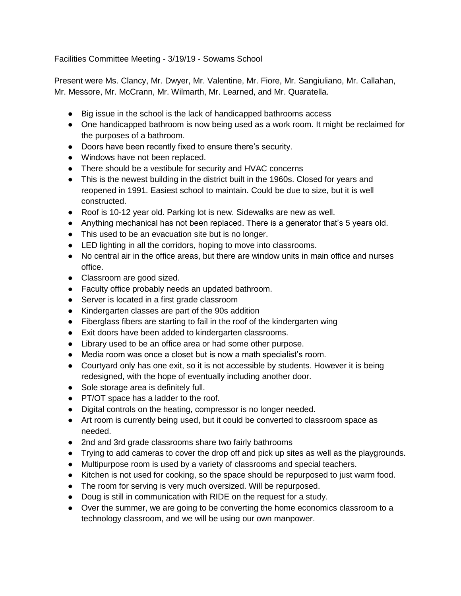Facilities Committee Meeting - 3/19/19 - Sowams School

Present were Ms. Clancy, Mr. Dwyer, Mr. Valentine, Mr. Fiore, Mr. Sangiuliano, Mr. Callahan, Mr. Messore, Mr. McCrann, Mr. Wilmarth, Mr. Learned, and Mr. Quaratella.

- Big issue in the school is the lack of handicapped bathrooms access
- One handicapped bathroom is now being used as a work room. It might be reclaimed for the purposes of a bathroom.
- Doors have been recently fixed to ensure there's security.
- Windows have not been replaced.
- There should be a vestibule for security and HVAC concerns
- This is the newest building in the district built in the 1960s. Closed for years and reopened in 1991. Easiest school to maintain. Could be due to size, but it is well constructed.
- Roof is 10-12 year old. Parking lot is new. Sidewalks are new as well.
- Anything mechanical has not been replaced. There is a generator that's 5 years old.
- This used to be an evacuation site but is no longer.
- LED lighting in all the corridors, hoping to move into classrooms.
- No central air in the office areas, but there are window units in main office and nurses office.
- Classroom are good sized.
- Faculty office probably needs an updated bathroom.
- Server is located in a first grade classroom
- Kindergarten classes are part of the 90s addition
- Fiberglass fibers are starting to fail in the roof of the kindergarten wing
- Exit doors have been added to kindergarten classrooms.
- Library used to be an office area or had some other purpose.
- Media room was once a closet but is now a math specialist's room.
- Courtyard only has one exit, so it is not accessible by students. However it is being redesigned, with the hope of eventually including another door.
- Sole storage area is definitely full.
- PT/OT space has a ladder to the roof.
- Digital controls on the heating, compressor is no longer needed.
- Art room is currently being used, but it could be converted to classroom space as needed.
- 2nd and 3rd grade classrooms share two fairly bathrooms
- Trying to add cameras to cover the drop off and pick up sites as well as the playgrounds.
- Multipurpose room is used by a variety of classrooms and special teachers.
- Kitchen is not used for cooking, so the space should be repurposed to just warm food.
- The room for serving is very much oversized. Will be repurposed.
- Doug is still in communication with RIDE on the request for a study.
- Over the summer, we are going to be converting the home economics classroom to a technology classroom, and we will be using our own manpower.